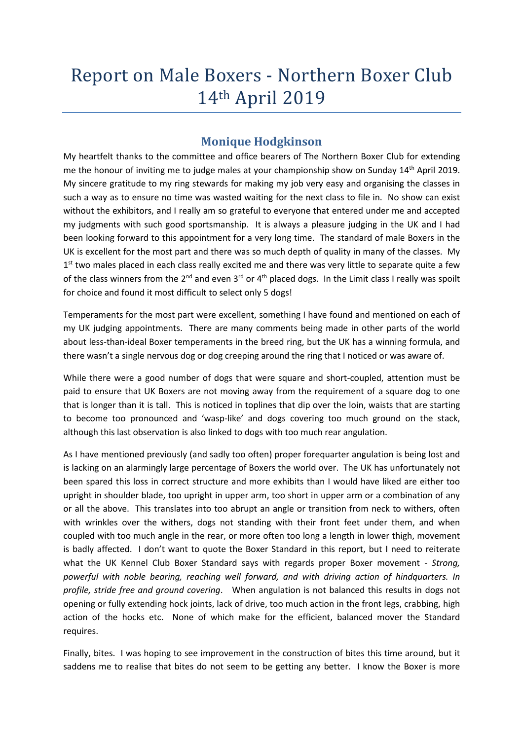# Report on Male Boxers - Northern Boxer Club 14th April 2019

# Monique Hodgkinson

My heartfelt thanks to the committee and office bearers of The Northern Boxer Club for extending me the honour of inviting me to judge males at your championship show on Sunday 14<sup>th</sup> April 2019. My sincere gratitude to my ring stewards for making my job very easy and organising the classes in such a way as to ensure no time was wasted waiting for the next class to file in. No show can exist without the exhibitors, and I really am so grateful to everyone that entered under me and accepted my judgments with such good sportsmanship. It is always a pleasure judging in the UK and I had been looking forward to this appointment for a very long time. The standard of male Boxers in the UK is excellent for the most part and there was so much depth of quality in many of the classes. My 1<sup>st</sup> two males placed in each class really excited me and there was very little to separate quite a few of the class winners from the 2<sup>nd</sup> and even 3<sup>rd</sup> or 4<sup>th</sup> placed dogs. In the Limit class I really was spoilt for choice and found it most difficult to select only 5 dogs!

Temperaments for the most part were excellent, something I have found and mentioned on each of my UK judging appointments. There are many comments being made in other parts of the world about less-than-ideal Boxer temperaments in the breed ring, but the UK has a winning formula, and there wasn't a single nervous dog or dog creeping around the ring that I noticed or was aware of.

While there were a good number of dogs that were square and short-coupled, attention must be paid to ensure that UK Boxers are not moving away from the requirement of a square dog to one that is longer than it is tall. This is noticed in toplines that dip over the loin, waists that are starting to become too pronounced and 'wasp-like' and dogs covering too much ground on the stack, although this last observation is also linked to dogs with too much rear angulation.

As I have mentioned previously (and sadly too often) proper forequarter angulation is being lost and is lacking on an alarmingly large percentage of Boxers the world over. The UK has unfortunately not been spared this loss in correct structure and more exhibits than I would have liked are either too upright in shoulder blade, too upright in upper arm, too short in upper arm or a combination of any or all the above. This translates into too abrupt an angle or transition from neck to withers, often with wrinkles over the withers, dogs not standing with their front feet under them, and when coupled with too much angle in the rear, or more often too long a length in lower thigh, movement is badly affected. I don't want to quote the Boxer Standard in this report, but I need to reiterate what the UK Kennel Club Boxer Standard says with regards proper Boxer movement - Strong, powerful with noble bearing, reaching well forward, and with driving action of hindquarters. In profile, stride free and ground covering. When angulation is not balanced this results in dogs not opening or fully extending hock joints, lack of drive, too much action in the front legs, crabbing, high action of the hocks etc. None of which make for the efficient, balanced mover the Standard requires.

Finally, bites. I was hoping to see improvement in the construction of bites this time around, but it saddens me to realise that bites do not seem to be getting any better. I know the Boxer is more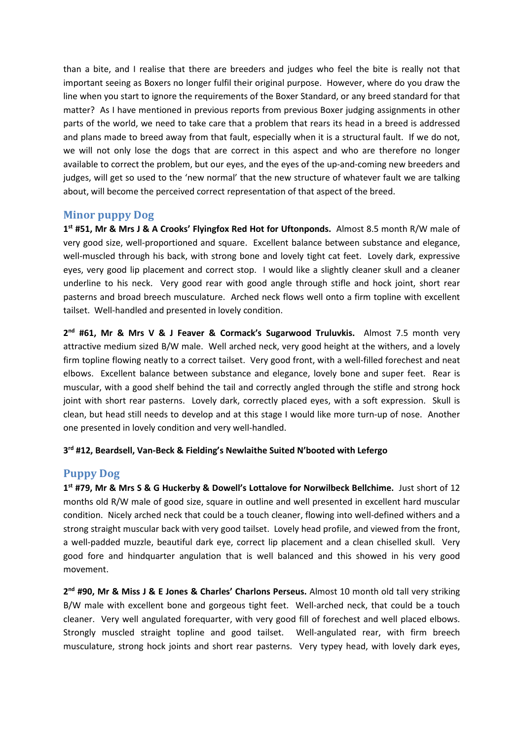than a bite, and I realise that there are breeders and judges who feel the bite is really not that important seeing as Boxers no longer fulfil their original purpose. However, where do you draw the line when you start to ignore the requirements of the Boxer Standard, or any breed standard for that matter? As I have mentioned in previous reports from previous Boxer judging assignments in other parts of the world, we need to take care that a problem that rears its head in a breed is addressed and plans made to breed away from that fault, especially when it is a structural fault. If we do not, we will not only lose the dogs that are correct in this aspect and who are therefore no longer available to correct the problem, but our eyes, and the eyes of the up-and-coming new breeders and judges, will get so used to the 'new normal' that the new structure of whatever fault we are talking about, will become the perceived correct representation of that aspect of the breed.

#### Minor puppy Dog

1<sup>st</sup> #51, Mr & Mrs J & A Crooks' Flyingfox Red Hot for Uftonponds. Almost 8.5 month R/W male of very good size, well-proportioned and square. Excellent balance between substance and elegance, well-muscled through his back, with strong bone and lovely tight cat feet. Lovely dark, expressive eyes, very good lip placement and correct stop. I would like a slightly cleaner skull and a cleaner underline to his neck. Very good rear with good angle through stifle and hock joint, short rear pasterns and broad breech musculature. Arched neck flows well onto a firm topline with excellent tailset. Well-handled and presented in lovely condition.

2<sup>nd</sup> #61, Mr & Mrs V & J Feaver & Cormack's Sugarwood Truluvkis. Almost 7.5 month very attractive medium sized B/W male. Well arched neck, very good height at the withers, and a lovely firm topline flowing neatly to a correct tailset. Very good front, with a well-filled forechest and neat elbows. Excellent balance between substance and elegance, lovely bone and super feet. Rear is muscular, with a good shelf behind the tail and correctly angled through the stifle and strong hock joint with short rear pasterns. Lovely dark, correctly placed eyes, with a soft expression. Skull is clean, but head still needs to develop and at this stage I would like more turn-up of nose. Another one presented in lovely condition and very well-handled.

#### 3<sup>rd</sup> #12, Beardsell, Van-Beck & Fielding's Newlaithe Suited N'booted with Lefergo

# Puppy Dog

1<sup>st</sup> #79, Mr & Mrs S & G Huckerby & Dowell's Lottalove for Norwilbeck Bellchime. Just short of 12 months old R/W male of good size, square in outline and well presented in excellent hard muscular condition. Nicely arched neck that could be a touch cleaner, flowing into well-defined withers and a strong straight muscular back with very good tailset. Lovely head profile, and viewed from the front, a well-padded muzzle, beautiful dark eye, correct lip placement and a clean chiselled skull. Very good fore and hindquarter angulation that is well balanced and this showed in his very good movement.

2<sup>nd</sup> #90, Mr & Miss J & E Jones & Charles' Charlons Perseus. Almost 10 month old tall very striking B/W male with excellent bone and gorgeous tight feet. Well-arched neck, that could be a touch cleaner. Very well angulated forequarter, with very good fill of forechest and well placed elbows. Strongly muscled straight topline and good tailset. Well-angulated rear, with firm breech musculature, strong hock joints and short rear pasterns. Very typey head, with lovely dark eyes,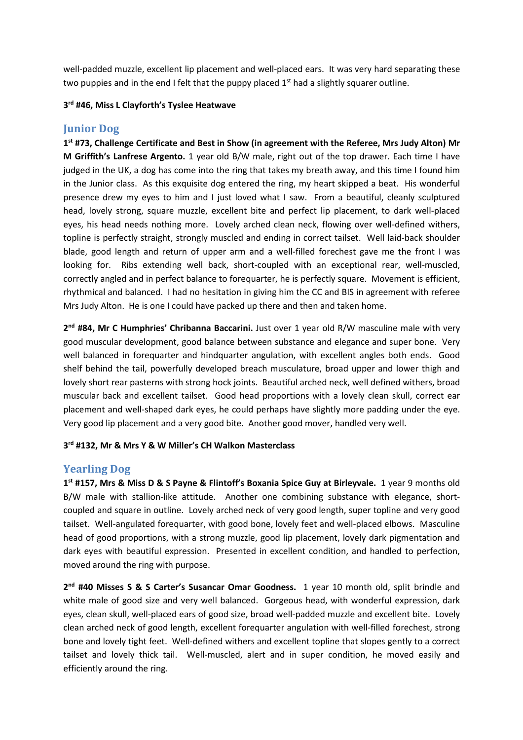well-padded muzzle, excellent lip placement and well-placed ears. It was very hard separating these two puppies and in the end I felt that the puppy placed  $1<sup>st</sup>$  had a slightly squarer outline.

#### 3<sup>rd</sup> #46, Miss L Clayforth's Tyslee Heatwave

# Junior Dog

1<sup>st</sup> #73, Challenge Certificate and Best in Show (in agreement with the Referee, Mrs Judy Alton) Mr M Griffith's Lanfrese Argento. 1 year old B/W male, right out of the top drawer. Each time I have judged in the UK, a dog has come into the ring that takes my breath away, and this time I found him in the Junior class. As this exquisite dog entered the ring, my heart skipped a beat. His wonderful presence drew my eyes to him and I just loved what I saw. From a beautiful, cleanly sculptured head, lovely strong, square muzzle, excellent bite and perfect lip placement, to dark well-placed eyes, his head needs nothing more. Lovely arched clean neck, flowing over well-defined withers, topline is perfectly straight, strongly muscled and ending in correct tailset. Well laid-back shoulder blade, good length and return of upper arm and a well-filled forechest gave me the front I was looking for. Ribs extending well back, short-coupled with an exceptional rear, well-muscled, correctly angled and in perfect balance to forequarter, he is perfectly square. Movement is efficient, rhythmical and balanced. I had no hesitation in giving him the CC and BIS in agreement with referee Mrs Judy Alton. He is one I could have packed up there and then and taken home.

2<sup>nd</sup> #84, Mr C Humphries' Chribanna Baccarini. Just over 1 year old R/W masculine male with very good muscular development, good balance between substance and elegance and super bone. Very well balanced in forequarter and hindquarter angulation, with excellent angles both ends. Good shelf behind the tail, powerfully developed breach musculature, broad upper and lower thigh and lovely short rear pasterns with strong hock joints. Beautiful arched neck, well defined withers, broad muscular back and excellent tailset. Good head proportions with a lovely clean skull, correct ear placement and well-shaped dark eyes, he could perhaps have slightly more padding under the eye. Very good lip placement and a very good bite. Another good mover, handled very well.

#### 3<sup>rd</sup> #132, Mr & Mrs Y & W Miller's CH Walkon Masterclass

# Yearling Dog

1<sup>st</sup> #157, Mrs & Miss D & S Payne & Flintoff's Boxania Spice Guy at Birleyvale. 1 year 9 months old B/W male with stallion-like attitude. Another one combining substance with elegance, shortcoupled and square in outline. Lovely arched neck of very good length, super topline and very good tailset. Well-angulated forequarter, with good bone, lovely feet and well-placed elbows. Masculine head of good proportions, with a strong muzzle, good lip placement, lovely dark pigmentation and dark eyes with beautiful expression. Presented in excellent condition, and handled to perfection, moved around the ring with purpose.

2<sup>nd</sup> #40 Misses S & S Carter's Susancar Omar Goodness. 1 year 10 month old, split brindle and white male of good size and very well balanced. Gorgeous head, with wonderful expression, dark eyes, clean skull, well-placed ears of good size, broad well-padded muzzle and excellent bite. Lovely clean arched neck of good length, excellent forequarter angulation with well-filled forechest, strong bone and lovely tight feet. Well-defined withers and excellent topline that slopes gently to a correct tailset and lovely thick tail. Well-muscled, alert and in super condition, he moved easily and efficiently around the ring.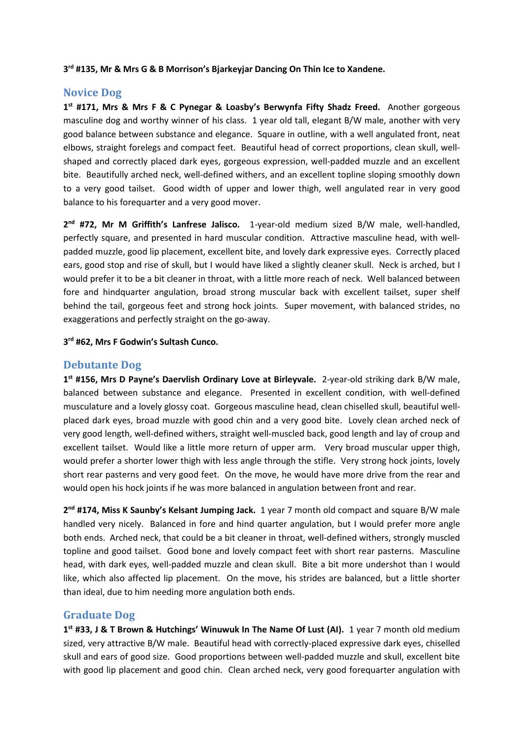3<sup>rd</sup> #135, Mr & Mrs G & B Morrison's Bjarkeyjar Dancing On Thin Ice to Xandene.

### Novice Dog

1<sup>st</sup> #171, Mrs & Mrs F & C Pynegar & Loasby's Berwynfa Fifty Shadz Freed. Another gorgeous masculine dog and worthy winner of his class. 1 year old tall, elegant B/W male, another with very good balance between substance and elegance. Square in outline, with a well angulated front, neat elbows, straight forelegs and compact feet. Beautiful head of correct proportions, clean skull, wellshaped and correctly placed dark eyes, gorgeous expression, well-padded muzzle and an excellent bite. Beautifully arched neck, well-defined withers, and an excellent topline sloping smoothly down to a very good tailset. Good width of upper and lower thigh, well angulated rear in very good balance to his forequarter and a very good mover.

2<sup>nd</sup> #72, Mr M Griffith's Lanfrese Jalisco. 1-year-old medium sized B/W male, well-handled, perfectly square, and presented in hard muscular condition. Attractive masculine head, with wellpadded muzzle, good lip placement, excellent bite, and lovely dark expressive eyes. Correctly placed ears, good stop and rise of skull, but I would have liked a slightly cleaner skull. Neck is arched, but I would prefer it to be a bit cleaner in throat, with a little more reach of neck. Well balanced between fore and hindquarter angulation, broad strong muscular back with excellent tailset, super shelf behind the tail, gorgeous feet and strong hock joints. Super movement, with balanced strides, no exaggerations and perfectly straight on the go-away.

3 rd #62, Mrs F Godwin's Sultash Cunco.

# Debutante Dog

1<sup>st</sup> #156, Mrs D Payne's Daervlish Ordinary Love at Birleyvale. 2-year-old striking dark B/W male, balanced between substance and elegance. Presented in excellent condition, with well-defined musculature and a lovely glossy coat. Gorgeous masculine head, clean chiselled skull, beautiful wellplaced dark eyes, broad muzzle with good chin and a very good bite. Lovely clean arched neck of very good length, well-defined withers, straight well-muscled back, good length and lay of croup and excellent tailset. Would like a little more return of upper arm. Very broad muscular upper thigh, would prefer a shorter lower thigh with less angle through the stifle. Very strong hock joints, lovely short rear pasterns and very good feet. On the move, he would have more drive from the rear and would open his hock joints if he was more balanced in angulation between front and rear.

2<sup>nd</sup> #174, Miss K Saunby's Kelsant Jumping Jack. 1 year 7 month old compact and square B/W male handled very nicely. Balanced in fore and hind quarter angulation, but I would prefer more angle both ends. Arched neck, that could be a bit cleaner in throat, well-defined withers, strongly muscled topline and good tailset. Good bone and lovely compact feet with short rear pasterns. Masculine head, with dark eyes, well-padded muzzle and clean skull. Bite a bit more undershot than I would like, which also affected lip placement. On the move, his strides are balanced, but a little shorter than ideal, due to him needing more angulation both ends.

# Graduate Dog

1<sup>st</sup> #33, J & T Brown & Hutchings' Winuwuk In The Name Of Lust (AI). 1 year 7 month old medium sized, very attractive B/W male. Beautiful head with correctly-placed expressive dark eyes, chiselled skull and ears of good size. Good proportions between well-padded muzzle and skull, excellent bite with good lip placement and good chin. Clean arched neck, very good forequarter angulation with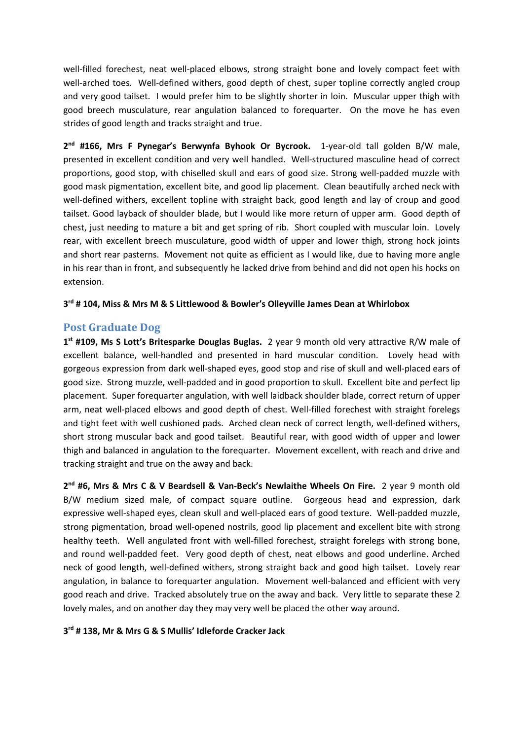well-filled forechest, neat well-placed elbows, strong straight bone and lovely compact feet with well-arched toes. Well-defined withers, good depth of chest, super topline correctly angled croup and very good tailset. I would prefer him to be slightly shorter in loin. Muscular upper thigh with good breech musculature, rear angulation balanced to forequarter. On the move he has even strides of good length and tracks straight and true.

2<sup>nd</sup> #166, Mrs F Pynegar's Berwynfa Byhook Or Bycrook. 1-year-old tall golden B/W male, presented in excellent condition and very well handled. Well-structured masculine head of correct proportions, good stop, with chiselled skull and ears of good size. Strong well-padded muzzle with good mask pigmentation, excellent bite, and good lip placement. Clean beautifully arched neck with well-defined withers, excellent topline with straight back, good length and lay of croup and good tailset. Good layback of shoulder blade, but I would like more return of upper arm. Good depth of chest, just needing to mature a bit and get spring of rib. Short coupled with muscular loin. Lovely rear, with excellent breech musculature, good width of upper and lower thigh, strong hock joints and short rear pasterns. Movement not quite as efficient as I would like, due to having more angle in his rear than in front, and subsequently he lacked drive from behind and did not open his hocks on extension.

#### 3 rd # 104, Miss & Mrs M & S Littlewood & Bowler's Olleyville James Dean at Whirlobox

## Post Graduate Dog

1<sup>st</sup> #109, Ms S Lott's Britesparke Douglas Buglas. 2 year 9 month old very attractive R/W male of excellent balance, well-handled and presented in hard muscular condition. Lovely head with gorgeous expression from dark well-shaped eyes, good stop and rise of skull and well-placed ears of good size. Strong muzzle, well-padded and in good proportion to skull. Excellent bite and perfect lip placement. Super forequarter angulation, with well laidback shoulder blade, correct return of upper arm, neat well-placed elbows and good depth of chest. Well-filled forechest with straight forelegs and tight feet with well cushioned pads. Arched clean neck of correct length, well-defined withers, short strong muscular back and good tailset. Beautiful rear, with good width of upper and lower thigh and balanced in angulation to the forequarter. Movement excellent, with reach and drive and tracking straight and true on the away and back.

2<sup>nd</sup> #6, Mrs & Mrs C & V Beardsell & Van-Beck's Newlaithe Wheels On Fire. 2 year 9 month old B/W medium sized male, of compact square outline. Gorgeous head and expression, dark expressive well-shaped eyes, clean skull and well-placed ears of good texture. Well-padded muzzle, strong pigmentation, broad well-opened nostrils, good lip placement and excellent bite with strong healthy teeth. Well angulated front with well-filled forechest, straight forelegs with strong bone, and round well-padded feet. Very good depth of chest, neat elbows and good underline. Arched neck of good length, well-defined withers, strong straight back and good high tailset. Lovely rear angulation, in balance to forequarter angulation. Movement well-balanced and efficient with very good reach and drive. Tracked absolutely true on the away and back. Very little to separate these 2 lovely males, and on another day they may very well be placed the other way around.

#### 3 rd # 138, Mr & Mrs G & S Mullis' Idleforde Cracker Jack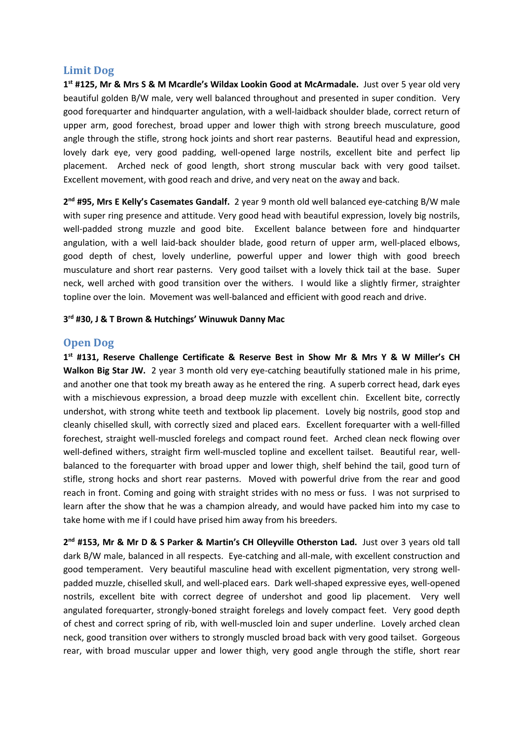## Limit Dog

1<sup>st</sup> #125, Mr & Mrs S & M Mcardle's Wildax Lookin Good at McArmadale. Just over 5 year old very beautiful golden B/W male, very well balanced throughout and presented in super condition. Very good forequarter and hindquarter angulation, with a well-laidback shoulder blade, correct return of upper arm, good forechest, broad upper and lower thigh with strong breech musculature, good angle through the stifle, strong hock joints and short rear pasterns. Beautiful head and expression, lovely dark eye, very good padding, well-opened large nostrils, excellent bite and perfect lip placement. Arched neck of good length, short strong muscular back with very good tailset. Excellent movement, with good reach and drive, and very neat on the away and back.

2<sup>nd</sup> #95, Mrs E Kelly's Casemates Gandalf. 2 year 9 month old well balanced eye-catching B/W male with super ring presence and attitude. Very good head with beautiful expression, lovely big nostrils, well-padded strong muzzle and good bite. Excellent balance between fore and hindquarter angulation, with a well laid-back shoulder blade, good return of upper arm, well-placed elbows, good depth of chest, lovely underline, powerful upper and lower thigh with good breech musculature and short rear pasterns. Very good tailset with a lovely thick tail at the base. Super neck, well arched with good transition over the withers. I would like a slightly firmer, straighter topline over the loin. Movement was well-balanced and efficient with good reach and drive.

#### 3 rd #30, J & T Brown & Hutchings' Winuwuk Danny Mac

# Open Dog

1<sup>st</sup> #131, Reserve Challenge Certificate & Reserve Best in Show Mr & Mrs Y & W Miller's CH Walkon Big Star JW. 2 year 3 month old very eye-catching beautifully stationed male in his prime, and another one that took my breath away as he entered the ring. A superb correct head, dark eyes with a mischievous expression, a broad deep muzzle with excellent chin. Excellent bite, correctly undershot, with strong white teeth and textbook lip placement. Lovely big nostrils, good stop and cleanly chiselled skull, with correctly sized and placed ears. Excellent forequarter with a well-filled forechest, straight well-muscled forelegs and compact round feet. Arched clean neck flowing over well-defined withers, straight firm well-muscled topline and excellent tailset. Beautiful rear, wellbalanced to the forequarter with broad upper and lower thigh, shelf behind the tail, good turn of stifle, strong hocks and short rear pasterns. Moved with powerful drive from the rear and good reach in front. Coming and going with straight strides with no mess or fuss. I was not surprised to learn after the show that he was a champion already, and would have packed him into my case to take home with me if I could have prised him away from his breeders.

2<sup>nd</sup> #153, Mr & Mr D & S Parker & Martin's CH Olleyville Otherston Lad. Just over 3 years old tall dark B/W male, balanced in all respects. Eye-catching and all-male, with excellent construction and good temperament. Very beautiful masculine head with excellent pigmentation, very strong wellpadded muzzle, chiselled skull, and well-placed ears. Dark well-shaped expressive eyes, well-opened nostrils, excellent bite with correct degree of undershot and good lip placement. Very well angulated forequarter, strongly-boned straight forelegs and lovely compact feet. Very good depth of chest and correct spring of rib, with well-muscled loin and super underline. Lovely arched clean neck, good transition over withers to strongly muscled broad back with very good tailset. Gorgeous rear, with broad muscular upper and lower thigh, very good angle through the stifle, short rear